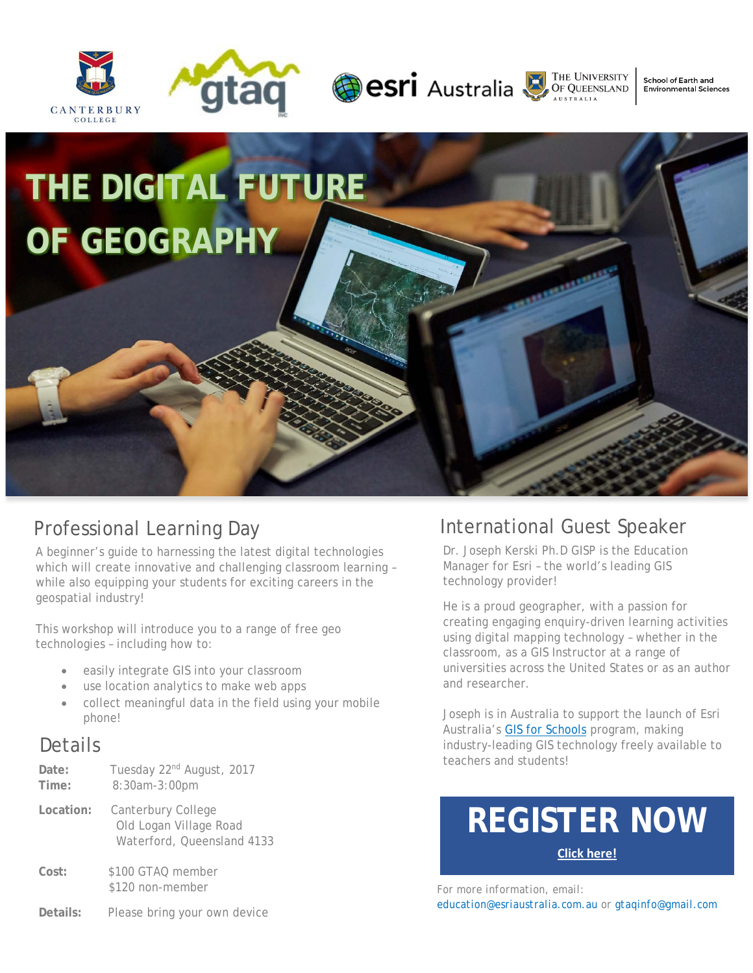







School of Earth and **Environmental Sciences** 

# **THE DIGITAL FUTURE OF GEOGRAPHY**

#### Professional Learning Day

A beginner's guide to harnessing the latest digital technologies which will create innovative and challenging classroom learning – while also equipping your students for exciting careers in the geospatial industry!

This workshop will introduce you to a range of free geo technologies – including how to:

- easily integrate GIS into your classroom
- use location analytics to make web apps
- collect meaningful data in the field using your mobile phone!

#### **Details**

| Date:<br>Time: | Tuesday 22 <sup>nd</sup> August, 2017<br>8:30am-3:00pm                     |
|----------------|----------------------------------------------------------------------------|
| Location:      | Canterbury College<br>Old Logan Village Road<br>Waterford, Queensland 4133 |
| Cost:          | \$100 GTAQ member<br>\$120 non-member                                      |
| Details:       | Please bring your own device                                               |

### **REGISTER NOW [Click here!](http://gtaq.com.au/event-2625867)**

*For more information, email: education@esriaustralia.com.au or gtaqinfo@gmail.com* 

#### International Guest Speaker

Dr. Joseph Kerski Ph.D GISP is the Education Manager for Esri – the world's leading GIS technology provider!

He is a proud geographer, with a passion for creating engaging enquiry-driven learning activities using digital mapping technology – whether in the classroom, as a GIS Instructor at a range of universities across the United States or as an author and researcher.

Joseph is in Australia to support the launch of Esri Australia's [GIS for Schools](https://esriaustralia.com.au/gis-for-schools) program, making industry-leading GIS technology freely available to teachers and students!